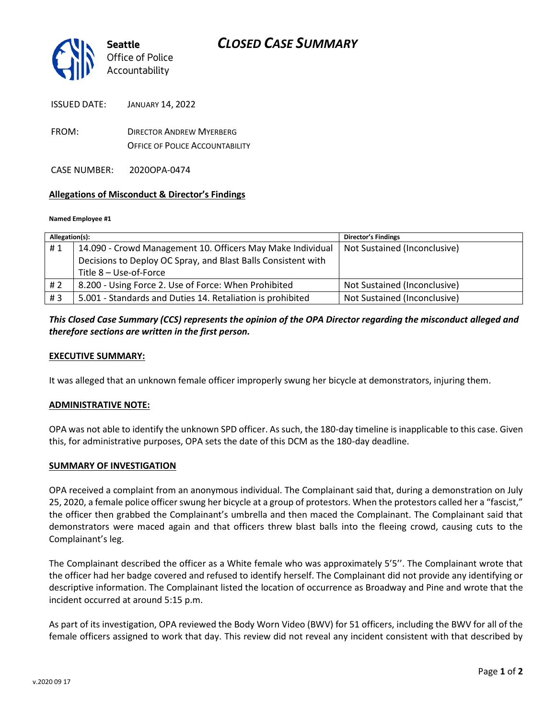

ISSUED DATE: JANUARY 14, 2022

FROM: DIRECTOR ANDREW MYERBERG OFFICE OF POLICE ACCOUNTABILITY

CASE NUMBER: 2020OPA-0474

### **Allegations of Misconduct & Director's Findings**

#### **Named Employee #1**

| Allegation(s): |                                                               | <b>Director's Findings</b>   |
|----------------|---------------------------------------------------------------|------------------------------|
| #1             | 14.090 - Crowd Management 10. Officers May Make Individual    | Not Sustained (Inconclusive) |
|                | Decisions to Deploy OC Spray, and Blast Balls Consistent with |                              |
|                | Title 8 - Use-of-Force                                        |                              |
| #2             | 8.200 - Using Force 2. Use of Force: When Prohibited          | Not Sustained (Inconclusive) |
| #3             | 5.001 - Standards and Duties 14. Retaliation is prohibited    | Not Sustained (Inconclusive) |

## *This Closed Case Summary (CCS) represents the opinion of the OPA Director regarding the misconduct alleged and therefore sections are written in the first person.*

### **EXECUTIVE SUMMARY:**

It was alleged that an unknown female officer improperly swung her bicycle at demonstrators, injuring them.

### **ADMINISTRATIVE NOTE:**

OPA was not able to identify the unknown SPD officer. As such, the 180-day timeline is inapplicable to this case. Given this, for administrative purposes, OPA sets the date of this DCM as the 180-day deadline.

### **SUMMARY OF INVESTIGATION**

OPA received a complaint from an anonymous individual. The Complainant said that, during a demonstration on July 25, 2020, a female police officer swung her bicycle at a group of protestors. When the protestors called her a "fascist," the officer then grabbed the Complainant's umbrella and then maced the Complainant. The Complainant said that demonstrators were maced again and that officers threw blast balls into the fleeing crowd, causing cuts to the Complainant's leg.

The Complainant described the officer as a White female who was approximately 5'5''. The Complainant wrote that the officer had her badge covered and refused to identify herself. The Complainant did not provide any identifying or descriptive information. The Complainant listed the location of occurrence as Broadway and Pine and wrote that the incident occurred at around 5:15 p.m.

As part of its investigation, OPA reviewed the Body Worn Video (BWV) for 51 officers, including the BWV for all of the female officers assigned to work that day. This review did not reveal any incident consistent with that described by